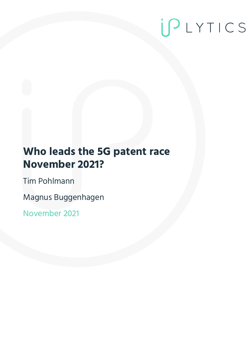# IPLYTICS

## **Who leads the 5G patent race November 2021?**

Tim Pohlmann

Magnus Buggenhagen

November 2021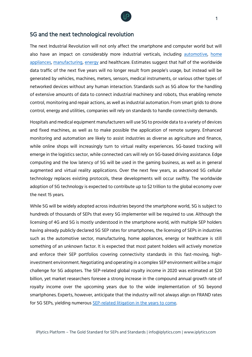

#### 5G and the next technological revolution

The next Industrial Revolution will not only affect the smartphone and computer world but will also have an impact on considerably more industrial verticals, including [automotive,](https://www.iplytics.com/report/standard-essential-patents-auto-industry/) [home](https://www.iplytics.com/report/patents-seps-standards-smart-home-technologies/)  [appliances,](https://www.iplytics.com/report/patents-seps-standards-smart-home-technologies/) [manufacturing,](https://www.iplytics.com/report/sep-leaders-standards-developers-smart-factory/) [energy](https://www.iplytics.com/report/smart-energy-patent-race/) and healthcare. Estimates suggest that half of the worldwide data traffic of the next five years will no longer result from people's usage, but instead will be generated by vehicles, machines, meters, sensors, medical instruments, or various other types of networked devices without any human interaction. Standards such as 5G allow for the handling of extensive amounts of data to connect industrial machinery and robots, thus enabling remote control, monitoring and repair actions, as well as industrial automation. From smart grids to drone control, energy and utilities, companies will rely on standards to handle connectivity demands.

Hospitals and medical equipment manufacturers will use 5G to provide data to a variety of devices and fixed machines, as well as to make possible the application of remote surgery. Enhanced monitoring and automation are likely to assist industries as diverse as agriculture and finance, while online shops will increasingly turn to virtual reality experiences. 5G-based tracking will emerge in the logistics sector, while connected cars will rely on 5G-based driving assistance. Edge computing and the low latency of 5G will be used in the gaming business, as well as in general augmented and virtual reality applications. Over the next few years, as advanced 5G cellular technology replaces existing protocols, these developments will occur swiftly. The worldwide adoption of 5G technology is expected to contribute up to \$2 trillion to the global economy over the next 15 years.

While 5G will be widely adopted across industries beyond the smartphone world, 5G is subject to hundreds of thousands of SEPs that every 5G implementer will be required to use. Although the licensing of 4G and 5G is mostly understood in the smartphone world, with multiple SEP holders having already publicly declared 5G SEP rates for smartphones, the licensing of SEPs in industries such as the automotive sector, manufacturing, home appliances, energy or healthcare is still something of an unknown factor. It is expected that most patent holders will actively monetize and enforce their SEP portfolios covering connectivity standards in this fast-moving, highinvestment environment. Negotiating and operating in a complex SEP environment will be a major challenge for 5G adopters. The SEP-related global royalty income in 2020 was estimated at \$20 billion, yet market researchers foresee a strong increase in the compound annual growth rate of royalty income over the upcoming years due to the wide implementation of 5G beyond smartphones. Experts, however, anticipate that the industry will not always align on FRAND rates for 5G SEPs, yielding numerous [SEP-related litigation in the years to come.](https://www.iplytics.com/report/seps-legal-risks-across-industries/)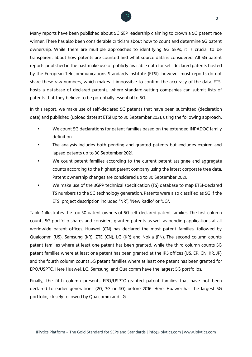

Many reports have been published about 5G SEP leadership claiming to crown a 5G patent race winner. There has also been considerable criticism about how to count and determine 5G patent ownership. While there are multiple approaches to identifying 5G SEPs, it is crucial to be transparent about how patents are counted and what source data is considered. All 5G patent reports published in the past make use of publicly available data for self-declared patents hosted by the European Telecommunications Standards Institute (ETSI), however most reports do not share these raw numbers, which makes it impossible to confirm the accuracy of the data. ETSI hosts a database of declared patents, where standard-setting companies can submit lists of patents that they believe to be potentially essential to 5G.

In this report, we make use of self-declared 5G patents that have been submitted (declaration date) and published (upload date) at ETSI up to 30 September 2021, using the following approach:

- We count 5G declarations for patent families based on the extended INPADOC family definition.
- The analysis includes both pending and granted patents but excludes expired and lapsed patents up to 30 September 2021.
- We count patent families according to the current patent assignee and aggregate counts according to the highest parent company using the latest corporate tree data. Patent ownership changes are considered up to 30 September 2021.
- We make use of the 3GPP technical specification (TS) database to map ETSI-declared TS numbers to the 5G technology generation. Patents were also classified as 5G if the ETSI project description included "NR", "New Radio" or "5G".

Table 1 illustrates the top 30 patent owners of 5G self-declared patent families. The first column counts 5G portfolio shares and considers granted patents as well as pending applications at all worldwide patent offices. Huawei (CN) has declared the most patent families, followed by Qualcomm (US), Samsung (KR), ZTE (CN), LG (KR) and Nokia (FN). The second column counts patent families where at least one patent has been granted, while the third column counts 5G patent families where at least one patent has been granted at the IP5 offices (US, EP, CN, KR, JP) and the fourth column counts 5G patent families where at least one patent has been granted for EPO/USPTO. Here Huawei, LG, Samsung, and Qualcomm have the largest 5G portfolios.

Finally, the fifth column presents EPO/USPTO-granted patent families that have not been declared to earlier generations (2G, 3G or 4G) before 2016. Here, Huawei has the largest 5G portfolio, closely followed by Qualcomm and LG.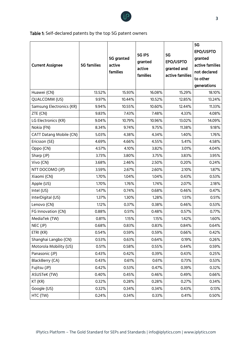

Table 1: Self-declared patents by the top 5G patent owners

|                          |                    |            |               |                 | 5G              |
|--------------------------|--------------------|------------|---------------|-----------------|-----------------|
|                          |                    | 5G granted | <b>5G IP5</b> | 5G              | EPO/USPTO       |
|                          |                    |            | granted       | EPO/USPTO       | granted         |
| <b>Current Assignee</b>  | <b>5G families</b> | active     | active        | granted and     | active families |
|                          |                    | families   | families      | active families | not declared    |
|                          |                    |            |               |                 | to other        |
|                          |                    |            |               |                 | generations     |
| Huawei (CN)              | 13.52%             | 15.93%     | 16.08%        | 15.29%          | 18.10%          |
| QUALCOMM (US)            | 9.97%              | 10.44%     | 10.52%        | 12.85%          | 13.24%          |
| Samsung Electronics (KR) | 9.94%              | 10.55%     | 10.60%        | 12.44%          | 11.33%          |
| ZTE (CN)                 | 9.83%              | 7.43%      | 7.48%         | 4.33%           | 4.08%           |
| LG Electronics (KR)      | 9.04%              | 10.79%     | 10.96%        | 13.02%          | 14.09%          |
| Nokia (FN)               | 8.34%              | 9.74%      | 9.75%         | 11.38%          | 9.18%           |
| CATT Datang Mobile (CN)  | 5.03%              | 4.38%      | 4.34%         | 1.40%           | 1.76%           |
| Ericsson (SE)            | 4.69%              | 4.66%      | 4.55%         | 5.41%           | 4.58%           |
| Oppo (CN)                | 4.57%              | 4.10%      | 3.82%         | 3.01%           | 4.04%           |
| Sharp (JP)               | 3.73%              | 3.80%      | 3.75%         | 3.83%           | 3.95%           |
| Vivo (CN)                | 3.68%              | 2.46%      | 2.50%         | 0.20%           | 0.24%           |
| NTT DOCOMO (JP)          | 3.59%              | 2.67%      | 2.60%         | 2.10%           | 1.87%           |
| Xiaomi (CN)              | 1.70%              | 1.04%      | 1.04%         | 0.43%           | 0.53%           |
| Apple (US)               | 1.70%              | 1.76%      | 1.74%         | 2.07%           | 2.18%           |
| Intel (US)               | 1.47%              | 0.74%      | 0.68%         | 0.46%           | 0.47%           |
| InterDigital (US)        | 1.37%              | 1.30%      | 1.28%         | 1.51%           | 0.51%           |
| Lenovo (CN)              | 1.12%              | 0.37%      | 0.38%         | 0.46%           | 0.53%           |
| FG Innovation (CN)       | 0.88%              | 0.51%      | 0.48%         | 0.57%           | 0.77%           |
| MediaTek (TW)            | 0.81%              | 1.15%      | 1.15%         | 1.42%           | 1.60%           |
| NEC (JP)                 | 0.68%              | 0.83%      | 0.83%         | 0.84%           | 0.64%           |
| ETRI (KR)                | 0.54%              | 0.59%      | 0.59%         | 0.66%           | 0.42%           |
| Shanghai Langbo (CN)     | 0.53%              | 0.63%      | 0.64%         | 0.19%           | 0.26%           |
| Motorola Mobility (US)   | 0.51%              | 0.58%      | 0.55%         | 0.44%           | 0.59%           |
| Panasonic (JP)           | 0.43%              | 0.42%      | 0.39%         | 0.43%           | 0.25%           |
| BlackBerry (CA)          | 0.43%              | 0.61%      | 0.61%         | 0.73%           | 0.53%           |
| Fujitsu (JP)             | 0.42%              | 0.53%      | 0.47%         | 0.39%           | 0.32%           |
| ASUSTeK (TW)             | 0.40%              | 0.45%      | 0.46%         | 0.49%           | 0.66%           |
| KT (KR)                  | 0.32%              | 0.28%      | 0.28%         | 0.27%           | 0.34%           |
| Google (US)              | 0.32%              | 0.34%      | 0.34%         | 0.43%           | 0.13%           |
| HTC (TW)                 | 0.24%              | 0.34%      | 0.33%         | 0.41%           | 0.50%           |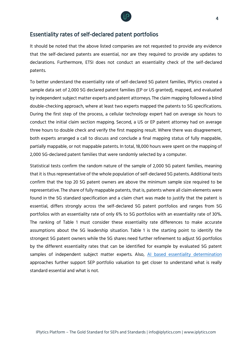

#### Essentiality rates of self-declared patent portfolios

It should be noted that the above listed companies are not requested to provide any evidence that the self-declared patents are essential, nor are they required to provide any updates to declarations. Furthermore, ETSI does not conduct an essentiality check of the self-declared patents.

To better understand the essentiality rate of self-declared 5G patent families, IPlytics created a sample data set of 2,000 5G declared patent families (EP or US granted), mapped, and evaluated by independent subject matter experts and patent attorneys. The claim mapping followed a blind double-checking approach, where at least two experts mapped the patents to 5G specifications. During the first step of the process, a cellular technology expert had on average six hours to conduct the initial claim section mapping. Second, a US or EP patent attorney had on average three hours to double check and verify the first mapping result. Where there was disagreement, both experts arranged a call to discuss and conclude a final mapping status of fully mappable, partially mappable, or not mappable patents. In total, 18,000 hours were spent on the mapping of 2,000 5G-declared patent families that were randomly selected by a computer.

Statistical tests confirm the random nature of the sample of 2,000 5G patent families, meaning that it is thus representative of the whole population of self-declared 5G patents. Additional tests confirm that the top 20 5G patent owners are above the minimum sample size required to be representative. The share of fully mappable patents, that is, patents where all claim elements were found in the 5G standard specification and a claim chart was made to justify that the patent is essential, differs strongly across the self-declared 5G patent portfolios and ranges from 5G portfolios with an essentiality rate of only 6% to 5G portfolios with an essentiality rate of 30%. The ranking of Table 1 must consider these essentiality rate differences to make accurate assumptions about the 5G leadership situation. Table 1 is the starting point to identify the strongest 5G patent owners while the 5G shares need further refinement to adjust 5G portfolios by the different essentiality rates that can be identified for example by evaluated 5G patent samples of independent subject matter experts. Also, [AI based essentiality determination](https://www.iplytics.com/report/ai-solution-skyrocketing-numbers-sep-declarations/) approaches further support SEP portfolio valuation to get closer to understand what is really standard essential and what is not.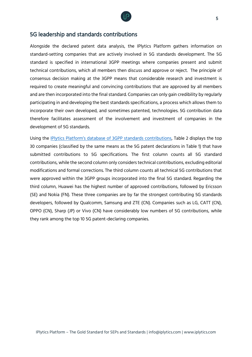

#### 5G leadership and standards contributions

Alongside the declared patent data analysis, the IPlytics Platform gathers information on standard-setting companies that are actively involved in 5G standards development. The 5G standard is specified in international 3GPP meetings where companies present and submit technical contributions, which all members then discuss and approve or reject. The principle of consensus decision making at the 3GPP means that considerable research and investment is required to create meaningful and convincing contributions that are approved by all members and are then incorporated into the final standard. Companies can only gain credibility by regularly participating in and developing the best standards specifications, a process which allows them to incorporate their own developed, and sometimes patented, technologies. 5G contribution data therefore facilitates assessment of the involvement and investment of companies in the development of 5G standards.

Using the [IPlytics Platform's database of 3GPP stan](https://www.iplytics.com/report/count-valuate-sep-declarations-contribution-data-5g-wifi-vvc/)dards contributions, Table 2 displays the top 30 companies (classified by the same means as the 5G patent declarations in Table 1) that have submitted contributions to 5G specifications. The first column counts all 5G standard contributions, while the second column only considers technical contributions, excluding editorial modifications and formal corrections. The third column counts all technical 5G contributions that were approved within the 3GPP groups incorporated into the final 5G standard. Regarding the third column, Huawei has the highest number of approved contributions, followed by Ericsson (SE) and Nokia (FN). These three companies are by far the strongest contributing 5G standards developers, followed by Qualcomm, Samsung and ZTE (CN). Companies such as LG, CATT (CN), OPPO (CN), Sharp (JP) or Vivo (CN) have considerably low numbers of 5G contributions, while they rank among the top 10 5G patent-declaring companies.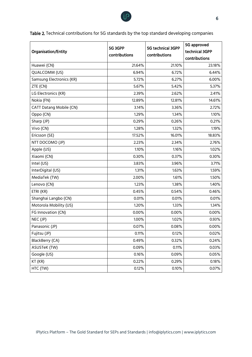

Table 2. Technical contributions for 5G standards by the top standard developing companies

|                                | 5G 3GPP       | 5G technical 3GPP | 5G approved    |
|--------------------------------|---------------|-------------------|----------------|
| <b>Organisation/Entity</b>     | contributions | contributions     | technical 3GPP |
|                                |               |                   | contributions  |
| Huawei (CN)                    | 21.64%        | 21.10%            | 23.18%         |
| QUALCOMM (US)                  | 6.94%         | 6.72%             | 6.44%          |
| Samsung Electronics (KR)       | 5.72%         | 6.27%             | 6.00%          |
| ZTE (CN)                       | 5.67%         | 5.42%             | 5.37%          |
| LG Electronics (KR)            | 2.39%         | 2.62%             | 2.41%          |
| Nokia (FN)                     | 12.89%        | 12.81%            | 14.61%         |
| <b>CATT Datang Mobile (CN)</b> | 3.14%         | 3.36%             | 2.72%          |
| Oppo (CN)                      | 1.29%         | 1.34%             | 1.10%          |
| Sharp (JP)                     | 0.29%         | 0.26%             | 0.21%          |
| Vivo (CN)                      | 1.28%         | 1.32%             | 1.19%          |
| Ericsson (SE)                  | 17.52%        | 16.01%            | 18.83%         |
| NTT DOCOMO (JP)                | 2.23%         | 2.34%             | 2.76%          |
| Apple (US)                     | 1.10%         | 1.16%             | 1.02%          |
| Xiaomi (CN)                    | 0.30%         | 0.37%             | 0.30%          |
| Intel (US)                     | 3.83%         | 3.96%             | 3.71%          |
| InterDigital (US)              | 1.31%         | 1.63%             | 1.59%          |
| MediaTek (TW)                  | 2.00%         | 1.61%             | 1.50%          |
| Lenovo (CN)                    | 1.23%         | 1.38%             | 1.40%          |
| ETRI (KR)                      | 0.45%         | 0.54%             | 0.46%          |
| Shanghai Langbo (CN)           | 0.01%         | 0.01%             | 0.01%          |
| Motorola Mobility (US)         | 1.20%         | 1.33%             | 1.34%          |
| FG Innovation (CN)             | 0.00%         | 0.00%             | 0.00%          |
| NEC (JP)                       | 1.00%         | 1.02%             | 0.93%          |
| Panasonic (JP)                 | 0.07%         | 0.08%             | 0.00%          |
| Fujitsu (JP)                   | 0.11%         | 0.12%             | 0.02%          |
| BlackBerry (CA)                | 0.49%         | 0.32%             | 0.24%          |
| ASUSTeK (TW)                   | 0.09%         | 0.11%             | 0.03%          |
| Google (US)                    | 0.16%         | 0.09%             | 0.05%          |
| KT (KR)                        | 0.22%         | 0.29%             | 0.18%          |
| HTC (TW)                       | 0.12%         | 0.10%             | 0.07%          |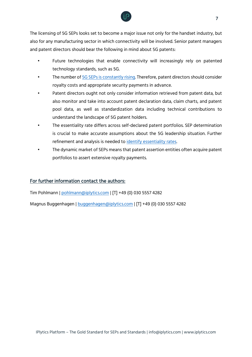

The licensing of 5G SEPs looks set to become a major issue not only for the handset industry, but also for any manufacturing sector in which connectivity will be involved. Senior patent managers and patent directors should bear the following in mind about 5G patents:

- Future technologies that enable connectivity will increasingly rely on patented technology standards, such as 5G.
- The number of [5G SEPs is constantly rising.](https://www.iplytics.com/report/rise-standard-essential-patents/) Therefore, patent directors should consider royalty costs and appropriate security payments in advance.
- Patent directors ought not only consider information retrieved from patent data, but also monitor and take into account patent declaration data, claim charts, and patent pool data, as well as standardization data including technical contributions to understand the landscape of 5G patent holders.
- The essentiality rate differs across self-declared patent portfolios. SEP determination is crucial to make accurate assumptions about the 5G leadership situation. Further refinement and analysis is needed to [identify essentiality rates.](https://www.iplytics.com/report/using-ai-valuate-determine-essentiality-seps/)
- The dynamic market of SEPs means that patent assertion entities often acquire patent portfolios to assert extensive royalty payments.

#### For further information contact the authors:

Tim Pohlmann | [pohlmann@iplytics.com](mailto:pohlmann@iplytics.com) | [T] +49 (0) 030 5557 4282

Magnus Buggenhagen | [buggenhagen@iplytics.com](mailto:buggenhagen@iplytics.com) | [T] +49 (0) 030 5557 4282